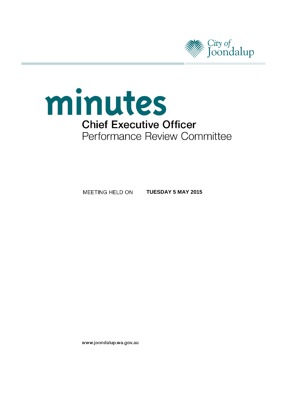



MEETING HELD ON **TUESDAY 5 MAY 2015**

www.joondalup.wa.gov.au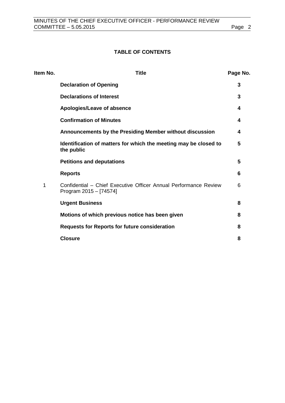# **TABLE OF CONTENTS**

| Item No. | <b>Title</b>                                                                               | Page No. |
|----------|--------------------------------------------------------------------------------------------|----------|
|          | <b>Declaration of Opening</b>                                                              | 3        |
|          | <b>Declarations of Interest</b>                                                            | 3        |
|          | Apologies/Leave of absence                                                                 | 4        |
|          | <b>Confirmation of Minutes</b>                                                             | 4        |
|          | Announcements by the Presiding Member without discussion                                   | 4        |
|          | Identification of matters for which the meeting may be closed to<br>the public             | 5        |
|          | <b>Petitions and deputations</b>                                                           | 5        |
|          | <b>Reports</b>                                                                             | 6        |
| 1        | Confidential - Chief Executive Officer Annual Performance Review<br>Program 2015 - [74574] | 6        |
|          | <b>Urgent Business</b>                                                                     | 8        |
|          | Motions of which previous notice has been given                                            | 8        |
|          | <b>Requests for Reports for future consideration</b>                                       | 8        |
|          | <b>Closure</b>                                                                             | 8        |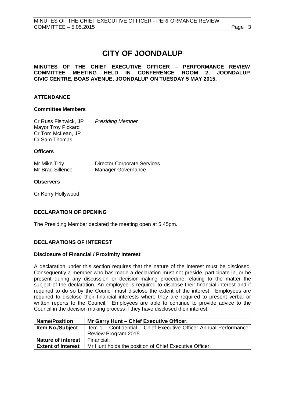# **CITY OF JOONDALUP**

**MINUTES OF THE CHIEF EXECUTIVE OFFICER – PERFORMANCE REVIEW COMMITTEE MEETING HELD IN CONFERENCE ROOM 2, JOONDALUP CIVIC CENTRE, BOAS AVENUE, JOONDALUP ON TUESDAY 5 MAY 2015.**

# **ATTENDANCE**

## **Committee Members**

Cr Russ Fishwick, JP *Presiding Member* Mayor Troy Pickard Cr Tom McLean, JP Cr Sam Thomas

## **Officers**

Mr Mike Tidy **Director Corporate Services**<br>
Mr Brad Sillence Manager Governance Manager Governance

# **Observers**

Cr Kerry Hollywood

# <span id="page-2-0"></span>**DECLARATION OF OPENING**

The Presiding Member declared the meeting open at 5.45pm.

# <span id="page-2-1"></span>**DECLARATIONS OF INTEREST**

#### **Disclosure of Financial / Proximity Interest**

A declaration under this section requires that the nature of the interest must be disclosed. Consequently a member who has made a declaration must not preside, participate in, or be present during any discussion or decision-making procedure relating to the matter the subject of the declaration. An employee is required to disclose their financial interest and if required to do so by the Council must disclose the extent of the interest. Employees are required to disclose their financial interests where they are required to present verbal or written reports to the Council. Employees are able to continue to provide advice to the Council in the decision making process if they have disclosed their interest.

| <b>Name/Position</b>      | Mr Garry Hunt - Chief Executive Officer.                           |  |
|---------------------------|--------------------------------------------------------------------|--|
| <b>Item No./Subject</b>   | Item 1 - Confidential - Chief Executive Officer Annual Performance |  |
|                           | Review Program 2015.                                               |  |
| <b>Nature of interest</b> | Financial.                                                         |  |
| <b>Extent of Interest</b> | Mr Hunt holds the position of Chief Executive Officer.             |  |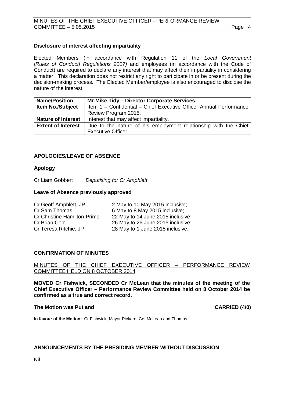## **Disclosure of interest affecting impartiality**

Elected Members (in accordance with Regulation 11 of the *Local Government [Rules of Conduct] Regulations 2007)* and employees (in accordance with the Code of Conduct) are required to declare any interest that may affect their impartiality in considering a matter. This declaration does not restrict any right to participate in or be present during the decision-making process. The Elected Member/employee is also encouraged to disclose the nature of the interest.

| <b>Name/Position</b>      | Mr Mike Tidy - Director Corporate Services.                        |  |
|---------------------------|--------------------------------------------------------------------|--|
| <b>Item No./Subject</b>   | Item 1 - Confidential - Chief Executive Officer Annual Performance |  |
|                           | Review Program 2015.                                               |  |
| <b>Nature of interest</b> | Interest that may affect impartiality.                             |  |
| <b>Extent of Interest</b> | Due to the nature of his employment relationship with the Chief    |  |
|                           | <b>Executive Officer.</b>                                          |  |

# <span id="page-3-0"></span>**APOLOGIES/LEAVE OF ABSENCE**

## **Apology**

Cr Liam Gobbert *Deputising for Cr Amphlett*

#### **Leave of Absence previously approved**

| Cr Geoff Amphlett, JP              | 2 May to 10 May 2015 inclusive;   |
|------------------------------------|-----------------------------------|
| Cr Sam Thomas                      | 6 May to 8 May 2015 inclusive;    |
| <b>Cr Christine Hamilton-Prime</b> | 22 May to 14 June 2015 inclusive; |
| Cr Brian Corr                      | 26 May to 26 June 2015 inclusive; |
| Cr Teresa Ritchie, JP              | 28 May to 1 June 2015 inclusive.  |

#### <span id="page-3-1"></span>**CONFIRMATION OF MINUTES**

MINUTES OF THE CHIEF EXECUTIVE OFFICER – PERFORMANCE REVIEW COMMITTEE HELD ON 8 OCTOBER 2014

**MOVED Cr Fishwick, SECONDED Cr McLean that the minutes of the meeting of the Chief Executive Officer – Performance Review Committee held on 8 October 2014 be confirmed as a true and correct record.**

#### **The Motion was Put and CARRIED (4/0)**

**In favour of the Motion:** Cr Fishwick, Mayor Pickard, Crs McLean and Thomas.

#### <span id="page-3-2"></span>**ANNOUNCEMENTS BY THE PRESIDING MEMBER WITHOUT DISCUSSION**

Nil.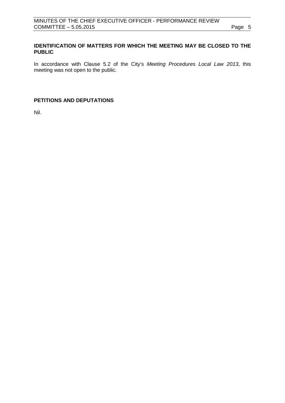# <span id="page-4-0"></span>**IDENTIFICATION OF MATTERS FOR WHICH THE MEETING MAY BE CLOSED TO THE PUBLIC**

In accordance with Clause 5.2 of the City's *Meeting Procedures Local Law 2013*, this meeting was not open to the public.

# <span id="page-4-1"></span>**PETITIONS AND DEPUTATIONS**

Nil.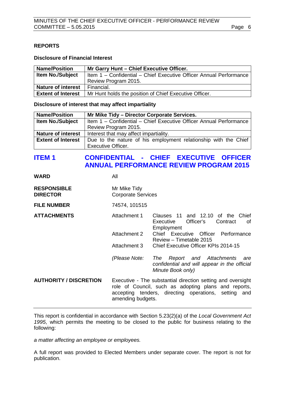# <span id="page-5-0"></span>**REPORTS**

#### **Disclosure of Financial Interest**

| <b>Name/Position</b>      | Mr Garry Hunt - Chief Executive Officer.                           |
|---------------------------|--------------------------------------------------------------------|
| <b>Item No./Subject</b>   | Item 1 - Confidential - Chief Executive Officer Annual Performance |
|                           | Review Program 2015.                                               |
| <b>Nature of interest</b> | Financial.                                                         |
| <b>Extent of Interest</b> | Mr Hunt holds the position of Chief Executive Officer.             |

#### **Disclosure of interest that may affect impartiality**

| <b>Name/Position</b>      | Mr Mike Tidy - Director Corporate Services.                        |  |
|---------------------------|--------------------------------------------------------------------|--|
| <b>Item No./Subject</b>   | Item 1 - Confidential - Chief Executive Officer Annual Performance |  |
|                           | Review Program 2015.                                               |  |
| <b>Nature of interest</b> | Interest that may affect impartiality.                             |  |
| <b>Extent of Interest</b> | Due to the nature of his employment relationship with the Chief    |  |
|                           | <b>Executive Officer.</b>                                          |  |

# <span id="page-5-1"></span>**ITEM 1 CONFIDENTIAL - CHIEF EXECUTIVE OFFICER ANNUAL PERFORMANCE REVIEW PROGRAM 2015**

| WARD                                  | All                                       |                                                                                                                                                                                                  |  |
|---------------------------------------|-------------------------------------------|--------------------------------------------------------------------------------------------------------------------------------------------------------------------------------------------------|--|
| <b>RESPONSIBLE</b><br><b>DIRECTOR</b> | Mr Mike Tidy<br><b>Corporate Services</b> |                                                                                                                                                                                                  |  |
| <b>FILE NUMBER</b>                    | 74574, 101515                             |                                                                                                                                                                                                  |  |
| <b>ATTACHMENTS</b>                    | Attachment 1                              | Clauses 11 and 12.10 of the Chief<br>Officer's<br>Executive<br>Contract<br>of<br>Employment                                                                                                      |  |
|                                       | Attachment 2                              | Chief Executive Officer Performance<br>Review - Timetable 2015                                                                                                                                   |  |
|                                       | Attachment 3                              | Chief Executive Officer KPIs 2014-15                                                                                                                                                             |  |
|                                       | (Please Note:                             | Report and Attachments<br>The<br>are<br>confidential and will appear in the official<br>Minute Book only)                                                                                        |  |
| <b>AUTHORITY / DISCRETION</b>         |                                           | Executive - The substantial direction setting and oversight<br>role of Council, such as adopting plans and reports,<br>accepting tenders, directing operations, setting and<br>amending budgets. |  |
|                                       |                                           |                                                                                                                                                                                                  |  |

This report is confidential in accordance with Section 5.23(2)(a) of the *Local Government Act 1995*, which permits the meeting to be closed to the public for business relating to the following:

*a matter affecting an employee or employees.*

A full report was provided to Elected Members under separate cover. The report is not for publication.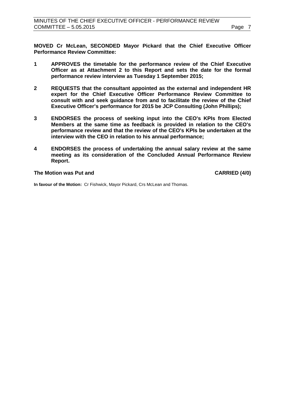**MOVED Cr McLean, SECONDED Mayor Pickard that the Chief Executive Officer Performance Review Committee:**

- **1 APPROVES the timetable for the performance review of the Chief Executive Officer as at Attachment 2 to this Report and sets the date for the formal performance review interview as Tuesday 1 September 2015;**
- **2 REQUESTS that the consultant appointed as the external and independent HR expert for the Chief Executive Officer Performance Review Committee to consult with and seek guidance from and to facilitate the review of the Chief Executive Officer's performance for 2015 be JCP Consulting (John Phillips);**
- **3 ENDORSES the process of seeking input into the CEO's KPIs from Elected Members at the same time as feedback is provided in relation to the CEO's performance review and that the review of the CEO's KPIs be undertaken at the interview with the CEO in relation to his annual performance;**
- **4 ENDORSES the process of undertaking the annual salary review at the same meeting as its consideration of the Concluded Annual Performance Review Report.**

## **The Motion was Put and CARRIED (4/0)**

**In favour of the Motion:** Cr Fishwick, Mayor Pickard, Crs McLean and Thomas.